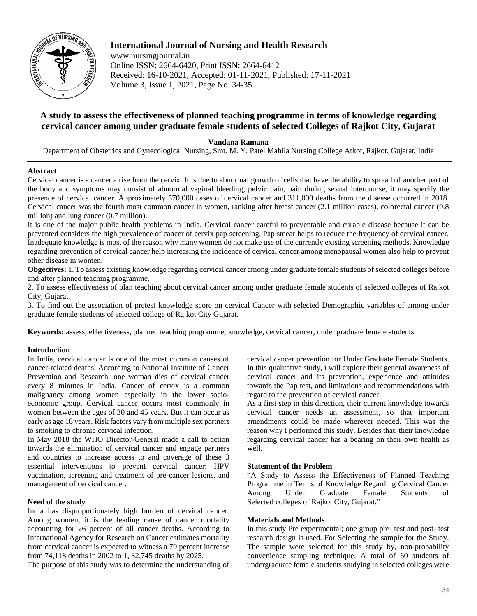

# **International Journal of Nursing and Health Research**

www.nursingjournal.in Online ISSN: 2664-6420, Print ISSN: 2664-6412 Received: 16-10-2021, Accepted: 01-11-2021, Published: 17-11-2021 Volume 3, Issue 1, 2021, Page No. 34-35

# **A study to assess the effectiveness of planned teaching programme in terms of knowledge regarding cervical cancer among under graduate female students of selected Colleges of Rajkot City, Gujarat**

**Vandana Ramana**

Department of Obstetrics and Gynecological Nursing, Smt. M. Y. Patel Mahila Nursing College Atkot, Rajkot, Gujarat, India

### **Abstract**

Cervical cancer is a cancer a rise from the cervix. It is due to abnormal growth of cells that have the ability to spread of another part of the body and symptoms may consist of abnormal vaginal bleeding, pelvic pain, pain during sexual intercourse, it may specify the presence of cervical cancer. Approximately 570,000 cases of cervical cancer and 311,000 deaths from the disease occurred in 2018. Cervical cancer was the fourth most common cancer in women, ranking after breast cancer (2.1 million cases), colorectal cancer (0.8 million) and lung cancer (0.7 million).

It is one of the major public health problems in India. Cervical cancer careful to preventable and curable disease because it can be prevented considers the high prevalence of cancer of cervix pap screening. Pap smear helps to reduce the frequency of cervical cancer. Inadequate knowledge is most of the reason why many women do not make use of the currently existing screening methods. Knowledge regarding prevention of cervical cancer help increasing the incidence of cervical cancer among menopausal women also help to prevent other disease in women.

**Obgectives:** 1. To assess existing knowledge regarding cervical cancer among under graduate female students of selected colleges before and after planned teaching programme.

2. To assess effectiveness of plan teaching about cervical cancer among under graduate female students of selected colleges of Rajkot City, Gujarat.

3. To find out the association of pretest knowledge score on cervical Cancer with selected Demographic variables of among under graduate female students of selected college of Rajkot City Gujarat.

**Keywords:** assess, effectiveness, planned teaching programme, knowledge, cervical cancer, under graduate female students

### **Introduction**

In India, cervical cancer is one of the most common causes of cancer-related deaths. According to National Institute of Cancer Prevention and Research, one woman dies of cervical cancer every 8 minutes in India. Cancer of cervix is a common malignancy among women especially in the lower socioeconomic group. Cervical cancer occurs most commonly in women between the ages of 30 and 45 years. But it can occur as early as age 18 years. Risk factors vary from multiple sex partners to smoking to chronic cervical infection.

In May 2018 the WHO Director-General made a call to action towards the elimination of cervical cancer and engage partners and countries to increase access to and coverage of these 3 essential interventions to prevent cervical cancer: HPV vaccination, screening and treatment of pre-cancer lesions, and management of cervical cancer.

### **Need of the study**

India has disproportionately high burden of cervical cancer. Among women, it is the leading cause of cancer mortality accounting for 26 percent of all cancer deaths. According to International Agency for Research on Cancer estimates mortality from cervical cancer is expected to witness a 79 percent increase from 74,118 deaths in 2002 to 1, 32,745 deaths by 2025.

The purpose of this study was to determine the understanding of

cervical cancer prevention for Under Graduate Female Students. In this qualitative study, i will explore their general awareness of cervical cancer and its prevention, experience and attitudes towards the Pap test, and limitations and recommendations with regard to the prevention of cervical cancer.

As a first step in this direction, their current knowledge towards cervical cancer needs an assessment, so that important amendments could be made wherever needed. This was the reason why I performed this study. Besides that, their knowledge regarding cervical cancer has a bearing on their own health as well.

### **Statement of the Problem**

"A Study to Assess the Effectiveness of Planned Teaching Programme in Terms of Knowledge Regarding Cervical Cancer Among Under Graduate Female Students of Selected colleges of Rajkot City, Gujarat."

### **Materials and Methods**

In this study Pre experimental; one group pre- test and post- test research design is used. For Selecting the sample for the Study. The sample were selected for this study by, non-probability convenience sampling technique. A total of 60 students of undergraduate female students studying in selected colleges were